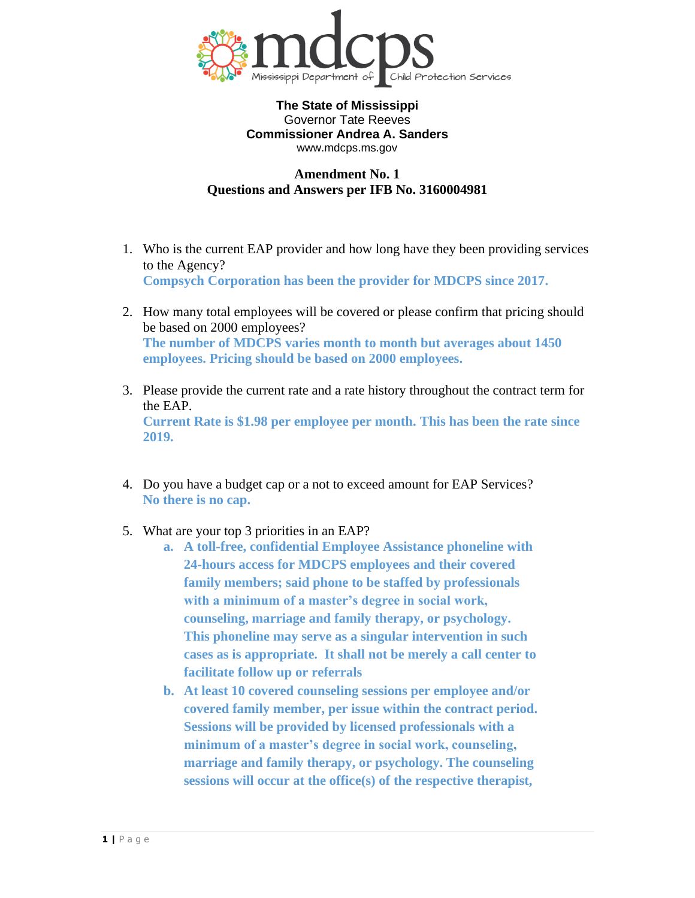

# **Amendment No. 1 Questions and Answers per IFB No. 3160004981**

- 1. Who is the current EAP provider and how long have they been providing services to the Agency? **Compsych Corporation has been the provider for MDCPS since 2017.**
- 2. How many total employees will be covered or please confirm that pricing should be based on 2000 employees? **The number of MDCPS varies month to month but averages about 1450 employees. Pricing should be based on 2000 employees.**
- 3. Please provide the current rate and a rate history throughout the contract term for the EAP. **Current Rate is \$1.98 per employee per month. This has been the rate since 2019.**
- 4. Do you have a budget cap or a not to exceed amount for EAP Services? **No there is no cap.**
- 5. What are your top 3 priorities in an EAP?
	- **a. A toll-free, confidential Employee Assistance phoneline with 24-hours access for MDCPS employees and their covered family members; said phone to be staffed by professionals with a minimum of a master's degree in social work, counseling, marriage and family therapy, or psychology. This phoneline may serve as a singular intervention in such cases as is appropriate. It shall not be merely a call center to facilitate follow up or referrals**
	- **b. At least 10 covered counseling sessions per employee and/or covered family member, per issue within the contract period. Sessions will be provided by licensed professionals with a minimum of a master's degree in social work, counseling, marriage and family therapy, or psychology. The counseling sessions will occur at the office(s) of the respective therapist,**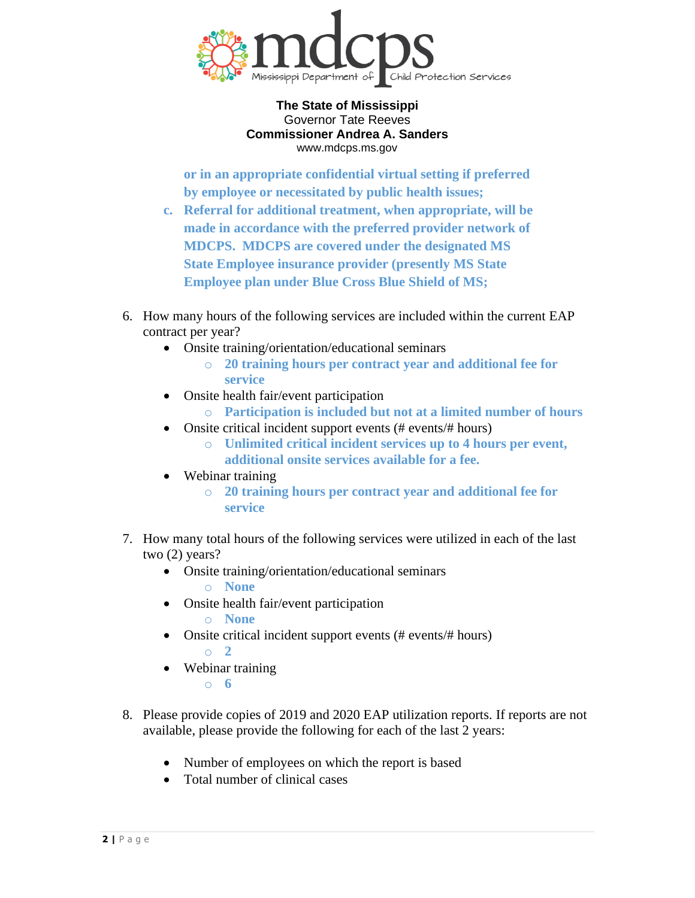

**or in an appropriate confidential virtual setting if preferred by employee or necessitated by public health issues;** 

- **c. Referral for additional treatment, when appropriate, will be made in accordance with the preferred provider network of MDCPS. MDCPS are covered under the designated MS State Employee insurance provider (presently MS State Employee plan under Blue Cross Blue Shield of MS;**
- 6. How many hours of the following services are included within the current EAP contract per year?
	- Onsite training/orientation/educational seminars
		- o **20 training hours per contract year and additional fee for service**
	- Onsite health fair/event participation
		- o **Participation is included but not at a limited number of hours**
	- Onsite critical incident support events (# events/# hours)
		- o **Unlimited critical incident services up to 4 hours per event, additional onsite services available for a fee.**
	- Webinar training
		- o **20 training hours per contract year and additional fee for service**
- 7. How many total hours of the following services were utilized in each of the last two (2) years?
	- Onsite training/orientation/educational seminars
		- o **None**
	- Onsite health fair/event participation o **None**
	- Onsite critical incident support events (# events/# hours) o **2**
	- Webinar training o **6**
- 8. Please provide copies of 2019 and 2020 EAP utilization reports. If reports are not available, please provide the following for each of the last 2 years:
	- Number of employees on which the report is based
	- Total number of clinical cases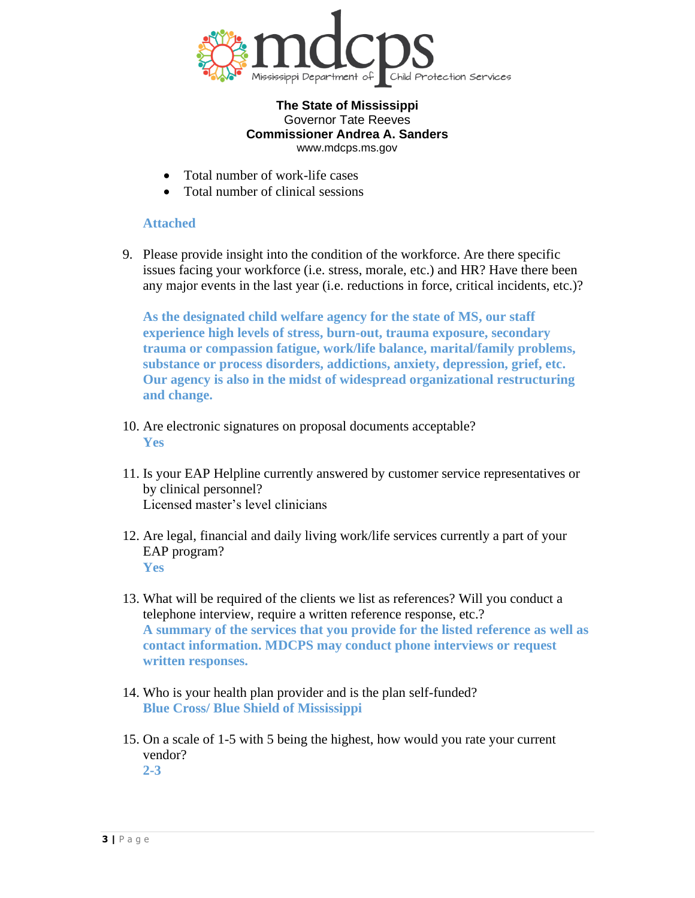

- Total number of work-life cases
- Total number of clinical sessions

## **Attached**

9. Please provide insight into the condition of the workforce. Are there specific issues facing your workforce (i.e. stress, morale, etc.) and HR? Have there been any major events in the last year (i.e. reductions in force, critical incidents, etc.)?

**As the designated child welfare agency for the state of MS, our staff experience high levels of stress, burn-out, trauma exposure, secondary trauma or compassion fatigue, work/life balance, marital/family problems, substance or process disorders, addictions, anxiety, depression, grief, etc. Our agency is also in the midst of widespread organizational restructuring and change.**

- 10. Are electronic signatures on proposal documents acceptable? **Yes**
- 11. Is your EAP Helpline currently answered by customer service representatives or by clinical personnel? Licensed master's level clinicians
- 12. Are legal, financial and daily living work/life services currently a part of your EAP program? **Yes**
- 13. What will be required of the clients we list as references? Will you conduct a telephone interview, require a written reference response, etc.? **A summary of the services that you provide for the listed reference as well as contact information. MDCPS may conduct phone interviews or request written responses.**
- 14. Who is your health plan provider and is the plan self-funded? **Blue Cross/ Blue Shield of Mississippi**
- 15. On a scale of 1-5 with 5 being the highest, how would you rate your current vendor? **2-3**